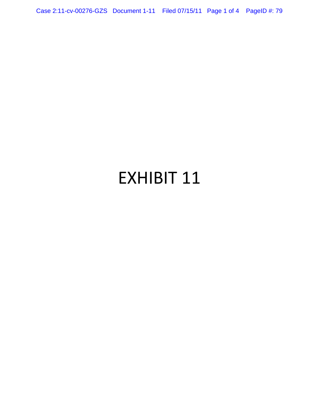Case 2:11-cv-00276-GZS Document 1-11 Filed 07/15/11 Page 1 of 4 PageID #: 79

## EXHIBIT 11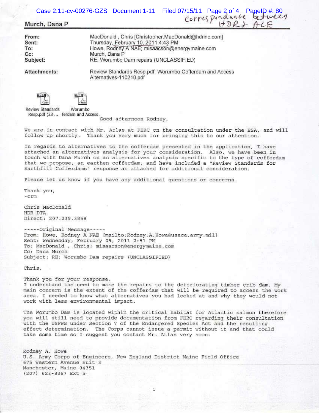Case 2:11-cv-00276-GZS Document 1-11 Filed 07/15/11 Page 2 of 4 PageID #: 80<br>Corres porter between<br>i+DR + if DR + if CE

## **Murch, Dana P**

From: MacDonald, Chris [Christopher.MacDonald@hdrinc.com] Sent: Thursday, February 10, 2011 4:43 PM To: Howe, Rodney A NAE; misaacson@energymaine.com Cc: Murch, Dana P RE: Worumbo Dam repairs (UNCLASSIFIED) Subject:

Attachments:

Review Standards Resp.pdf; Worumbo Cofferdam and Access Alternatives-110210.pdf



Review Standards Worumbo Resp.pdf (23 ... ferdam and Access

Good afternoon Rodney,

We are in contact with Mr. Atlas at FERC on the consultation under the ESA, and will we are in concact with M. Acias at FERC on the consultation under the ESA,<br>follow up shortly. Thank you very much for bringing this to our attention.

In regards to alternatives to the cofferdam presented in the application, I have attached an alternatives analysis for your consideration. Also, we have been in touch with Dana Murch on an alternatives analysis specific to the type of cofferdam that we propose, an earthen cofferdam, and have included a "Review Standards for Earthfill Cofferdams" response as attached for additional consideration.

Please let us know if you have any additional questions or concerns.

Thank you,  $-<sub>c</sub>$  $<sub>r</sub>$  $<sub>m</sub>$ </sub></sub>

Chris MacDonald HDR DTA Direct: 201 . 239.3 858

-----Original Message-----From: Howe, Rodney A NAE [mailto:Rodney.A.Howe@usace.army.mil] Sent: Wednesday, February 09, 2011 2:51 PM To: MacDonald , Chris; misaacson@energymaine.com Cc: Dana Murch Subject: RE: Worumbo Dam repairs (UNCLASSIFIED)

Chris,

Thank you for your response. I understand the need to make the repairs to the deteriorating timber crib dam. My main concern is the extent of the cofferdam that will be required to access the work area. I needed to know what alternatives you had looked at and why they would not work with less environmental impact.

The Worumbo Dam is located within the critical habitat for Atlantic salmon therefore you will still need to provide documentation from FERC regarding their consultation with the USFWS under Section 7 of the Endangered Species Act and the resulting effect determination. The Corps cannot issue a permit without it and that could take some time so I suggest you contact Mr. At las very soon.

Rodney A. Howe U.S. Army Corps of Engineers, New England District Maine Field Office 675 Western Avenue Suit 3 Manchester, Maine 04351 (207) 623-8367 Ext 5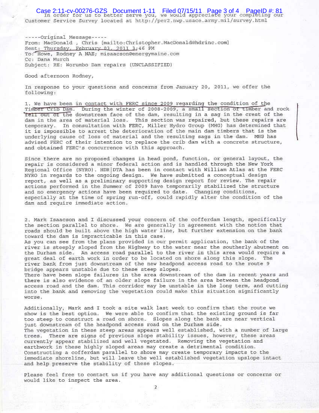Case 2:11-cv-00276-GZS Document 1-11 Filed 07/15/11 Page 3 of 4 PageID #: 81<br>In order for us to better serve you, we would appreciate your completing our Customer Service Survey located at http://per2.nwp.usace.army.mil/survey.html

-----Original Message-----From: MacDonald , Chris [mailto:Christopher.MacDonald@hdrinc.com] Sent: Thursday, February 03, 2011 3:46 PM To: Howe, Rodney A NAE; misaacson@energymaine.com Cc: Dana Murch Subject: RE: Worumbo Dam repairs (UNCLASSIFIED)

Good afternoon Rodney,

In response to your questions and concerns from January 20, 2011, we offer the following:

1. We have been in contact with FERC since 2009 regarding the condition of the Timber Crib Dam. During the winter of 2008-2009, a small section of timber and rock Tell out of the downstream face of the dam, resulting in a sag in the crest of the dam in the area of material loss. This section was repaired, but these repairs are temporary. In consultation with FERC, Miller Hydro Group (MHG) has determined that it is impossible to arrest the deterioration of the main dam timbers that is the underlying cause of loss of material and the resulting sags in the dam. MHG has advised FERC of their intention to replace the crib dam with a concrete structure, and obtained FERC's concurrence with this approach.

Since there are no proposed changes in head pond, function, or general layout, the repair is considered a minor federal action and is handled through the New York Regional Office (NYRO). HDR DTA has been in contact with William Atlas at the FERC NYRO in regards to the ongoing design. We have submitted a conceptual design report, as well as a preliminary supporting design report for review. The repair actions performed in the Summer of 2009 have temporarily stabilized the structure and no emergency actions have been required to date. Changing conditions, especially at the time of spring run-off, could rapidly alter the condition of the dam and require immediate action.

2. Mark Isaacson and I discussed your concern of the cofferdam length, specifically the section parallel to shore. We are generally in agreement with the notion that roads should be built above the high water line, but further extension on the bank toward the dam is impracticable in this case.

As you can see from the plans provided in our permit application, the bank of the river is steeply sloped from the Highway to the water near the southerly abutment on the Durham side. An access road parallel to the river in this area would require a great deal of earth work in order to be located on shore along this slope. The river bank from just downstream of the new headpond access road to the route 9 bridge appears unstable due to these steep slopes.

There have been slope failures in the area downstream of the dam in recent years and there is also evidence of an older slope failure in the area between the headpond access road and the dam. This corridor may be unstable in the long term, and cutting into the bank and removing the vegetation could make this situation significantly worse.

Additionally, Mark and I took a site walk last week to confirm that the route we show is the best option. We were able to confirm that the existing ground is far too steep to construct a road on shore. Slopes along the bank are near vertical just downstream of the headpond access road on the Durham side. The vegetation in these steep areas appears well established, with a number of large trees. There are signs of previous slope stability issues, however, these areas currently appear stabilized and well vegetated. Removing the vegetation and earthwork in these highly sloped areas may create a detrimental condition. Constructing a cofferdam parallel to shore may create temporary impacts to the immediate shoreline, but will leave the well established vegetation upslope intact and help preserve the stability of these slopes.

Please feel free to contact us if you have any additional questions or concerns or would like to inspect the area.